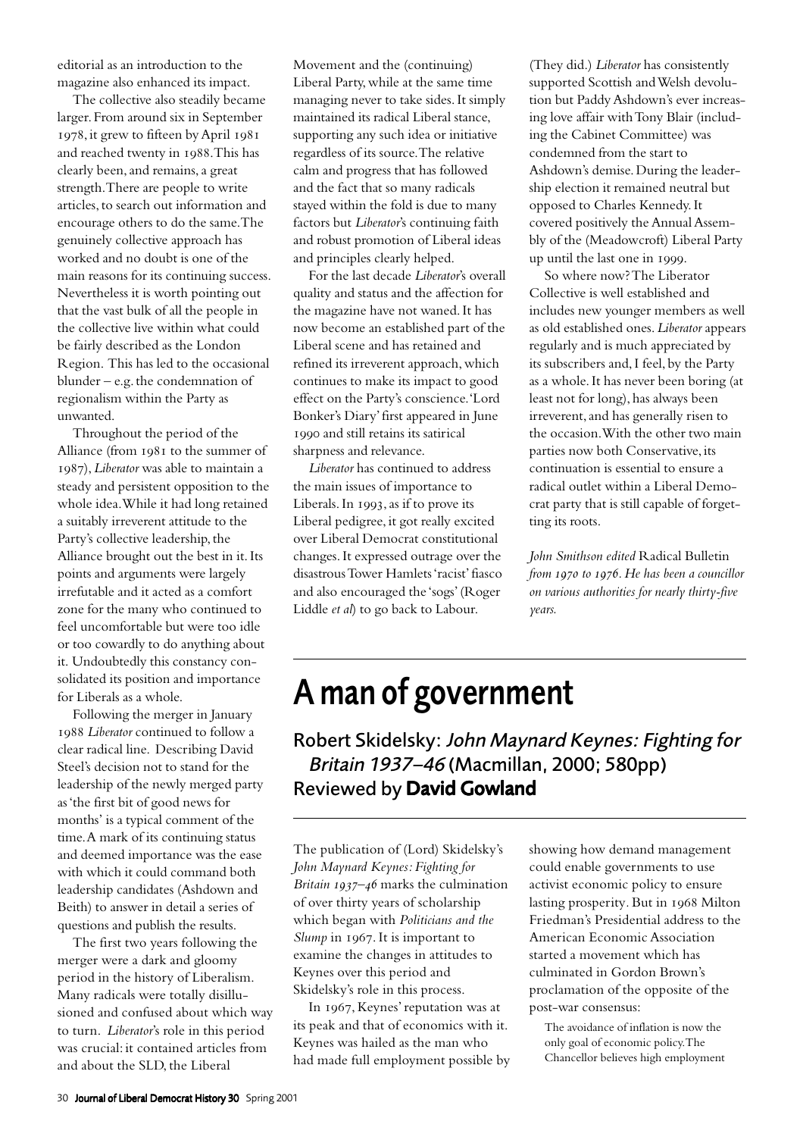editorial as an introduction to the magazine also enhanced its impact.

The collective also steadily became larger. From around six in September 1978, it grew to fifteen by April 1981 and reached twenty in 1988. This has clearly been, and remains, a great strength. There are people to write articles, to search out information and encourage others to do the same. The genuinely collective approach has worked and no doubt is one of the main reasons for its continuing success. Nevertheless it is worth pointing out that the vast bulk of all the people in the collective live within what could be fairly described as the London Region. This has led to the occasional blunder – e.g. the condemnation of regionalism within the Party as unwanted.

Throughout the period of the Alliance (from 1981 to the summer of ), *Liberator* was able to maintain a steady and persistent opposition to the whole idea. While it had long retained a suitably irreverent attitude to the Party's collective leadership, the Alliance brought out the best in it. Its points and arguments were largely irrefutable and it acted as a comfort zone for the many who continued to feel uncomfortable but were too idle or too cowardly to do anything about it. Undoubtedly this constancy consolidated its position and importance for Liberals as a whole.

Following the merger in January *Liberator* continued to follow a clear radical line. Describing David Steel's decision not to stand for the leadership of the newly merged party as 'the first bit of good news for months' is a typical comment of the time. A mark of its continuing status and deemed importance was the ease with which it could command both leadership candidates (Ashdown and Beith) to answer in detail a series of questions and publish the results.

The first two years following the merger were a dark and gloomy period in the history of Liberalism. Many radicals were totally disillusioned and confused about which way to turn. *Liberator*'s role in this period was crucial: it contained articles from and about the SLD, the Liberal

Movement and the (continuing) Liberal Party, while at the same time managing never to take sides. It simply maintained its radical Liberal stance, supporting any such idea or initiative regardless of its source. The relative calm and progress that has followed and the fact that so many radicals stayed within the fold is due to many factors but *Liberator*'s continuing faith and robust promotion of Liberal ideas and principles clearly helped.

For the last decade *Liberator*'s overall quality and status and the affection for the magazine have not waned. It has now become an established part of the Liberal scene and has retained and refined its irreverent approach, which continues to make its impact to good effect on the Party's conscience. 'Lord Bonker's Diary' first appeared in June 1990 and still retains its satirical sharpness and relevance.

*Liberator* has continued to address the main issues of importance to Liberals. In  $1993$ , as if to prove its Liberal pedigree, it got really excited over Liberal Democrat constitutional changes. It expressed outrage over the disastrous Tower Hamlets 'racist' fiasco and also encouraged the 'sogs' (Roger Liddle *et al*) to go back to Labour.

(They did.) *Liberator* has consistently supported Scottish and Welsh devolution but Paddy Ashdown's ever increasing love affair with Tony Blair (including the Cabinet Committee) was condemned from the start to Ashdown's demise. During the leadership election it remained neutral but opposed to Charles Kennedy. It covered positively the Annual Assembly of the (Meadowcroft) Liberal Party up until the last one in 1999.

So where now? The Liberator Collective is well established and includes new younger members as well as old established ones. *Liberator* appears regularly and is much appreciated by its subscribers and, I feel, by the Party as a whole. It has never been boring (at least not for long), has always been irreverent, and has generally risen to the occasion. With the other two main parties now both Conservative, its continuation is essential to ensure a radical outlet within a Liberal Democrat party that is still capable of forgetting its roots.

*John Smithson edited* Radical Bulletin *from to . He has been a councillor on various authorities for nearly thirty-five years.*

## A man of government

Robert Skidelsky: John Maynard Keynes: Fighting for Britain 1937–46 (Macmillan, 2000; 580pp) Reviewed by David Gowland

The publication of (Lord) Skidelsky's *John Maynard Keynes: Fighting for Britain 1937-46* marks the culmination of over thirty years of scholarship which began with *Politicians and the Slump* in 1967. It is important to examine the changes in attitudes to Keynes over this period and Skidelsky's role in this process.

In 1967, Keynes' reputation was at its peak and that of economics with it. Keynes was hailed as the man who had made full employment possible by showing how demand management could enable governments to use activist economic policy to ensure lasting prosperity. But in 1968 Milton Friedman's Presidential address to the American Economic Association started a movement which has culminated in Gordon Brown's proclamation of the opposite of the post-war consensus:

The avoidance of inflation is now the only goal of economic policy. The Chancellor believes high employment